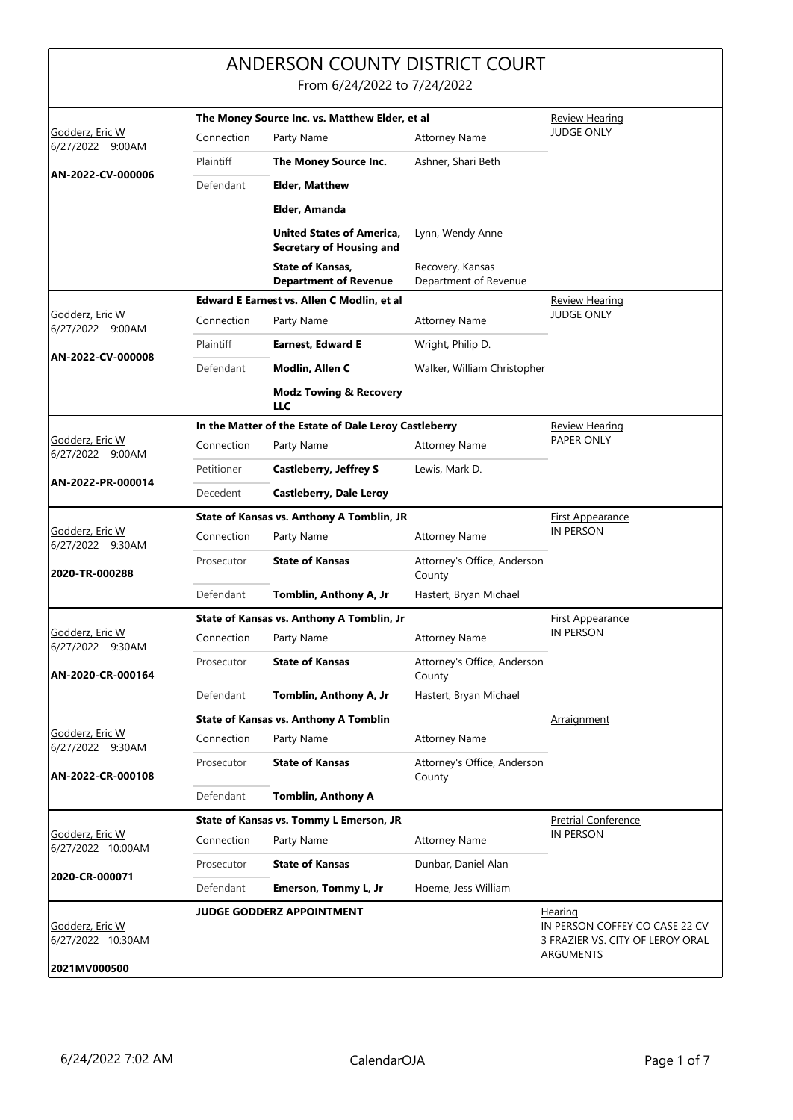|                                                      |                                                       | ANDERSON COUNTY DISTRICT COURT<br>From 6/24/2022 to 7/24/2022              |                                             |                                                                                                   |
|------------------------------------------------------|-------------------------------------------------------|----------------------------------------------------------------------------|---------------------------------------------|---------------------------------------------------------------------------------------------------|
|                                                      |                                                       | The Money Source Inc. vs. Matthew Elder, et al                             |                                             | <u>Review Hearing</u>                                                                             |
| Godderz, Eric W<br>6/27/2022 9:00AM                  | Connection                                            | Party Name                                                                 | <b>Attorney Name</b>                        | <b>JUDGE ONLY</b>                                                                                 |
|                                                      | Plaintiff                                             | The Money Source Inc.                                                      | Ashner, Shari Beth                          |                                                                                                   |
| AN-2022-CV-000006                                    | Defendant                                             | <b>Elder, Matthew</b>                                                      |                                             |                                                                                                   |
|                                                      |                                                       | Elder, Amanda                                                              |                                             |                                                                                                   |
|                                                      |                                                       | <b>United States of America,</b><br><b>Secretary of Housing and</b>        | Lynn, Wendy Anne                            |                                                                                                   |
|                                                      |                                                       | <b>State of Kansas,</b>                                                    | Recovery, Kansas<br>Department of Revenue   |                                                                                                   |
|                                                      |                                                       | <b>Department of Revenue</b><br>Edward E Earnest vs. Allen C Modlin, et al |                                             | <b>Review Hearing</b>                                                                             |
| Godderz, Eric W                                      | Connection                                            | Party Name                                                                 | <b>Attorney Name</b>                        | <b>JUDGE ONLY</b>                                                                                 |
| 6/27/2022 9:00AM                                     | Plaintiff                                             | <b>Earnest, Edward E</b>                                                   | Wright, Philip D.                           |                                                                                                   |
| AN-2022-CV-000008                                    | Defendant                                             | Modlin, Allen C                                                            | Walker, William Christopher                 |                                                                                                   |
|                                                      |                                                       | <b>Modz Towing &amp; Recovery</b><br>LLC                                   |                                             |                                                                                                   |
|                                                      | In the Matter of the Estate of Dale Leroy Castleberry |                                                                            |                                             | Review Hearing                                                                                    |
| Godderz, Eric W<br>6/27/2022 9:00AM                  | Connection                                            | Party Name                                                                 | <b>Attorney Name</b>                        | PAPER ONLY                                                                                        |
|                                                      | Petitioner                                            | <b>Castleberry, Jeffrey S</b>                                              | Lewis, Mark D.                              |                                                                                                   |
| AN-2022-PR-000014                                    | Decedent                                              | <b>Castleberry, Dale Leroy</b>                                             |                                             |                                                                                                   |
|                                                      | State of Kansas vs. Anthony A Tomblin, JR             |                                                                            |                                             | <b>First Appearance</b>                                                                           |
| Godderz, Eric W<br>6/27/2022 9:30AM                  | Connection                                            | Party Name                                                                 | <b>Attorney Name</b>                        | <b>IN PERSON</b>                                                                                  |
| 2020-TR-000288                                       | Prosecutor                                            | <b>State of Kansas</b>                                                     | Attorney's Office, Anderson<br>County       |                                                                                                   |
|                                                      | Defendant                                             | Tomblin, Anthony A, Jr                                                     | Hastert, Bryan Michael                      |                                                                                                   |
|                                                      |                                                       | State of Kansas vs. Anthony A Tomblin, Jr                                  | <b>First Appearance</b><br><b>IN PERSON</b> |                                                                                                   |
| Godderz, Eric W<br>6/27/2022 9:30AM                  | Connection                                            | Party Name                                                                 | <b>Attorney Name</b>                        |                                                                                                   |
| AN-2020-CR-000164                                    | Prosecutor                                            | <b>State of Kansas</b>                                                     | Attorney's Office, Anderson<br>County       |                                                                                                   |
|                                                      | Defendant                                             | Tomblin, Anthony A, Jr                                                     | Hastert, Bryan Michael                      |                                                                                                   |
| Godderz, Eric W                                      |                                                       | <b>State of Kansas vs. Anthony A Tomblin</b>                               |                                             | Arraignment                                                                                       |
| 6/27/2022 9:30AM                                     | Connection                                            | Party Name                                                                 | <b>Attorney Name</b>                        |                                                                                                   |
| AN-2022-CR-000108                                    | Prosecutor                                            | <b>State of Kansas</b>                                                     | Attorney's Office, Anderson<br>County       |                                                                                                   |
|                                                      | Defendant                                             | <b>Tomblin, Anthony A</b>                                                  |                                             |                                                                                                   |
| Godderz, Eric W                                      |                                                       | State of Kansas vs. Tommy L Emerson, JR                                    |                                             | <b>Pretrial Conference</b><br><b>IN PERSON</b>                                                    |
| 6/27/2022 10:00AM                                    | Connection                                            | Party Name                                                                 | <b>Attorney Name</b>                        |                                                                                                   |
| 2020-CR-000071                                       | Prosecutor                                            | <b>State of Kansas</b>                                                     | Dunbar, Daniel Alan                         |                                                                                                   |
|                                                      | Defendant                                             | Emerson, Tommy L, Jr                                                       | Hoeme, Jess William                         |                                                                                                   |
| Godderz, Eric W<br>6/27/2022 10:30AM<br>2021MV000500 |                                                       | <b>JUDGE GODDERZ APPOINTMENT</b>                                           |                                             | <b>Hearing</b><br>IN PERSON COFFEY CO CASE 22 CV<br>3 FRAZIER VS. CITY OF LEROY ORAL<br>ARGUMENTS |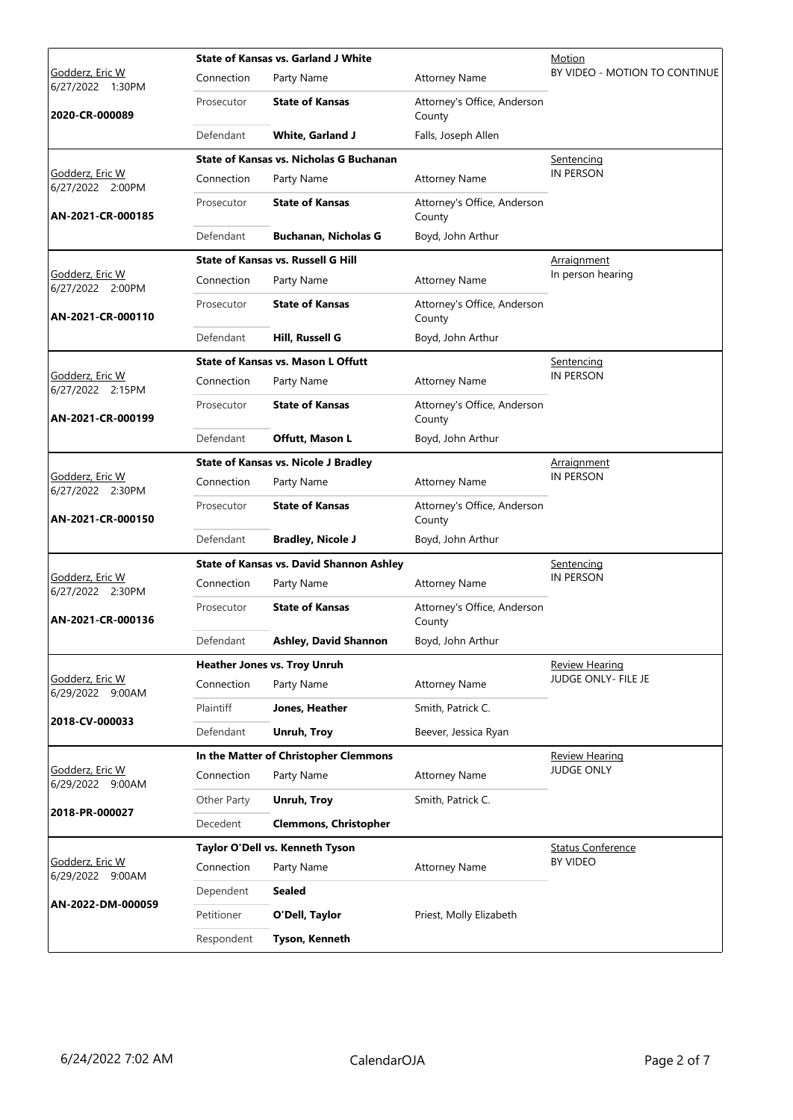|                                                              | <b>State of Kansas vs. Garland J White</b>  |                                                 |                                       | Motion                        |
|--------------------------------------------------------------|---------------------------------------------|-------------------------------------------------|---------------------------------------|-------------------------------|
| <u>Godderz, Eric W</u><br>6/27/2022 1:30PM<br>2020-CR-000089 | Connection                                  | Party Name                                      | <b>Attorney Name</b>                  | BY VIDEO - MOTION TO CONTINUE |
|                                                              | Prosecutor                                  | <b>State of Kansas</b>                          | Attorney's Office, Anderson<br>County |                               |
|                                                              | Defendant                                   | <b>White, Garland J</b>                         | Falls, Joseph Allen                   |                               |
|                                                              |                                             | State of Kansas vs. Nicholas G Buchanan         |                                       | Sentencing                    |
| Godderz, Eric W<br>6/27/2022 2:00PM                          | Connection                                  | Party Name                                      | <b>Attorney Name</b>                  | IN PERSON                     |
| AN-2021-CR-000185                                            | Prosecutor                                  | <b>State of Kansas</b>                          | Attorney's Office, Anderson<br>County |                               |
|                                                              | Defendant                                   | <b>Buchanan, Nicholas G</b>                     | Boyd, John Arthur                     |                               |
|                                                              |                                             | <b>State of Kansas vs. Russell G Hill</b>       |                                       | <b>Arraignment</b>            |
| Godderz, Eric W<br>6/27/2022 2:00PM                          | Connection                                  | Party Name                                      | <b>Attorney Name</b>                  | In person hearing             |
| AN-2021-CR-000110                                            | Prosecutor                                  | <b>State of Kansas</b>                          | Attorney's Office, Anderson<br>County |                               |
|                                                              | Defendant                                   | Hill, Russell G                                 | Boyd, John Arthur                     |                               |
|                                                              |                                             | <b>State of Kansas vs. Mason L Offutt</b>       |                                       | Sentencing                    |
| <u>Godderz, Eric W</u><br>6/27/2022 2:15PM                   | Connection                                  | Party Name                                      | <b>Attorney Name</b>                  | <b>IN PERSON</b>              |
| AN-2021-CR-000199                                            | Prosecutor                                  | <b>State of Kansas</b>                          | Attorney's Office, Anderson<br>County |                               |
|                                                              | Defendant                                   | Offutt, Mason L                                 | Boyd, John Arthur                     |                               |
|                                                              | <b>State of Kansas vs. Nicole J Bradley</b> |                                                 |                                       | <b>Arraignment</b>            |
| Godderz, Eric W<br>6/27/2022 2:30PM                          | Connection                                  | Party Name                                      | <b>Attorney Name</b>                  | IN PERSON                     |
| AN-2021-CR-000150                                            | Prosecutor                                  | <b>State of Kansas</b>                          | Attorney's Office, Anderson<br>County |                               |
|                                                              | Defendant                                   | <b>Bradley, Nicole J</b>                        | Boyd, John Arthur                     |                               |
|                                                              |                                             | <b>State of Kansas vs. David Shannon Ashley</b> | <u>Sentencing</u>                     |                               |
| Godderz, Eric W<br>6/27/2022 2:30PM                          | Connection                                  | Party Name                                      | <b>Attorney Name</b>                  | <b>IN PERSON</b>              |
| AN-2021-CR-000136                                            | Prosecutor                                  | <b>State of Kansas</b>                          | Attorney's Office, Anderson<br>County |                               |
|                                                              | Defendant                                   | <b>Ashley, David Shannon</b>                    | Boyd, John Arthur                     |                               |
|                                                              |                                             | Heather Jones vs. Troy Unruh                    |                                       | <b>Review Hearing</b>         |
| Godderz, Eric W<br>6/29/2022 9:00AM                          | Connection                                  | Party Name                                      | <b>Attorney Name</b>                  | JUDGE ONLY- FILE JE           |
|                                                              | Plaintiff                                   | Jones, Heather                                  | Smith, Patrick C.                     |                               |
| 2018-CV-000033                                               | Defendant                                   | Unruh, Troy                                     | Beever, Jessica Ryan                  |                               |
|                                                              |                                             | In the Matter of Christopher Clemmons           | <b>Review Hearing</b>                 |                               |
| Godderz, Eric W<br>6/29/2022 9:00AM                          | Connection                                  | Party Name                                      | <b>Attorney Name</b>                  | <b>JUDGE ONLY</b>             |
|                                                              | Other Party                                 | Unruh, Troy                                     | Smith, Patrick C.                     |                               |
| 2018-PR-000027                                               | Decedent                                    | <b>Clemmons, Christopher</b>                    |                                       |                               |
|                                                              | Taylor O'Dell vs. Kenneth Tyson             |                                                 |                                       | <b>Status Conference</b>      |
| Godderz, Eric W<br>6/29/2022 9:00AM                          | Connection                                  | Party Name                                      | <b>Attorney Name</b>                  | <b>BY VIDEO</b>               |
|                                                              | Dependent                                   | <b>Sealed</b>                                   |                                       |                               |
| AN-2022-DM-000059                                            | Petitioner                                  | O'Dell, Taylor                                  | Priest, Molly Elizabeth               |                               |
|                                                              | Respondent                                  | Tyson, Kenneth                                  |                                       |                               |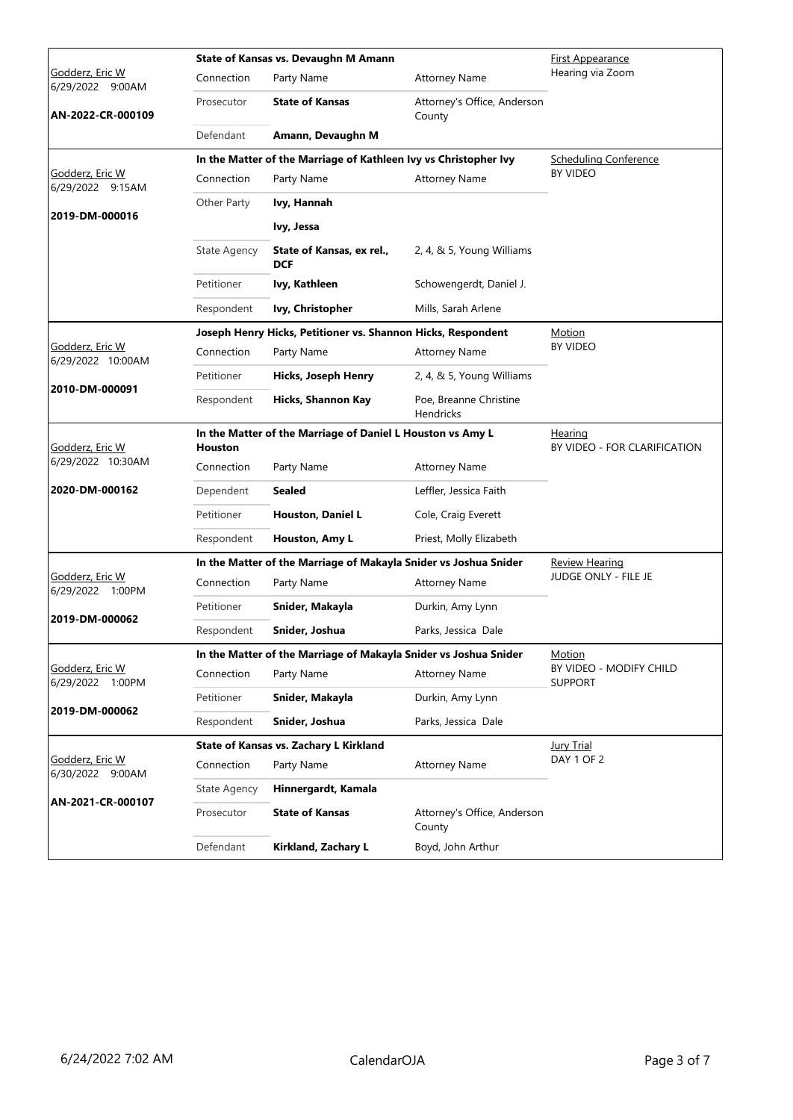|                                                          |                                                                       | State of Kansas vs. Devaughn M Amann                             | First Appearance                           |                                                |
|----------------------------------------------------------|-----------------------------------------------------------------------|------------------------------------------------------------------|--------------------------------------------|------------------------------------------------|
| Godderz, Eric W<br>6/29/2022 9:00AM<br>AN-2022-CR-000109 | Connection                                                            | Party Name                                                       | <b>Attorney Name</b>                       | Hearing via Zoom                               |
|                                                          | Prosecutor                                                            | <b>State of Kansas</b>                                           | Attorney's Office, Anderson<br>County      |                                                |
|                                                          | Defendant                                                             | Amann, Devaughn M                                                |                                            |                                                |
|                                                          |                                                                       | In the Matter of the Marriage of Kathleen Ivy vs Christopher Ivy | <b>Scheduling Conference</b>               |                                                |
| Godderz, Eric W<br>6/29/2022 9:15AM                      | Connection                                                            | Party Name                                                       | <b>Attorney Name</b>                       | <b>BY VIDEO</b>                                |
|                                                          | Other Party                                                           | Ivy, Hannah                                                      |                                            |                                                |
| 2019-DM-000016                                           |                                                                       | Ivy, Jessa                                                       |                                            |                                                |
|                                                          | <b>State Agency</b>                                                   | State of Kansas, ex rel.,<br><b>DCF</b>                          | 2, 4, & 5, Young Williams                  |                                                |
|                                                          | Petitioner                                                            | Ivy, Kathleen                                                    | Schowengerdt, Daniel J.                    |                                                |
|                                                          | Respondent                                                            | Ivy, Christopher                                                 | Mills, Sarah Arlene                        |                                                |
|                                                          |                                                                       | Joseph Henry Hicks, Petitioner vs. Shannon Hicks, Respondent     |                                            | <b>Motion</b>                                  |
| Godderz, Eric W<br>6/29/2022 10:00AM                     | Connection                                                            | Party Name                                                       | <b>Attorney Name</b>                       | <b>BY VIDEO</b>                                |
|                                                          | Petitioner                                                            | Hicks, Joseph Henry                                              | 2, 4, & 5, Young Williams                  |                                                |
| 2010-DM-000091                                           | Respondent                                                            | Hicks, Shannon Kay                                               | Poe, Breanne Christine<br><b>Hendricks</b> |                                                |
| Godderz, Eric W                                          | In the Matter of the Marriage of Daniel L Houston vs Amy L<br>Houston |                                                                  |                                            | <b>Hearing</b><br>BY VIDEO - FOR CLARIFICATION |
| 6/29/2022 10:30AM                                        | Connection                                                            | Party Name                                                       | <b>Attorney Name</b>                       |                                                |
| 2020-DM-000162                                           | Dependent                                                             | Sealed                                                           | Leffler, Jessica Faith                     |                                                |
|                                                          | Petitioner                                                            | <b>Houston, Daniel L</b>                                         | Cole, Craig Everett                        |                                                |
|                                                          | Respondent                                                            | Houston, Amy L                                                   | Priest, Molly Elizabeth                    |                                                |
|                                                          |                                                                       | In the Matter of the Marriage of Makayla Snider vs Joshua Snider |                                            | <b>Review Hearing</b>                          |
| Godderz, Eric W<br>6/29/2022 1:00PM                      | Connection                                                            | Party Name                                                       | <b>Attorney Name</b>                       | JUDGE ONLY - FILE JE                           |
|                                                          | Petitioner                                                            | Snider, Makayla                                                  | Durkin, Amy Lynn                           |                                                |
| 2019-DM-000062                                           | Respondent                                                            | Snider, Joshua                                                   | Parks, Jessica Dale                        |                                                |
|                                                          |                                                                       | In the Matter of the Marriage of Makayla Snider vs Joshua Snider | Motion                                     |                                                |
| Godderz, Eric W<br>6/29/2022 1:00PM                      | Connection                                                            | Party Name                                                       | <b>Attorney Name</b>                       | BY VIDEO - MODIFY CHILD<br><b>SUPPORT</b>      |
|                                                          | Petitioner                                                            | Snider, Makayla                                                  | Durkin, Amy Lynn                           |                                                |
| 2019-DM-000062                                           | Respondent                                                            | Snider, Joshua                                                   | Parks, Jessica Dale                        |                                                |
|                                                          |                                                                       | State of Kansas vs. Zachary L Kirkland                           | <b>Jury Trial</b>                          |                                                |
| Godderz, Eric W<br>6/30/2022 9:00AM                      | Connection                                                            | Party Name                                                       | <b>Attorney Name</b>                       | DAY 1 OF 2                                     |
|                                                          | <b>State Agency</b>                                                   | Hinnergardt, Kamala                                              |                                            |                                                |
| AN-2021-CR-000107                                        | Prosecutor                                                            | <b>State of Kansas</b>                                           | Attorney's Office, Anderson<br>County      |                                                |
|                                                          | Defendant                                                             | Kirkland, Zachary L                                              | Boyd, John Arthur                          |                                                |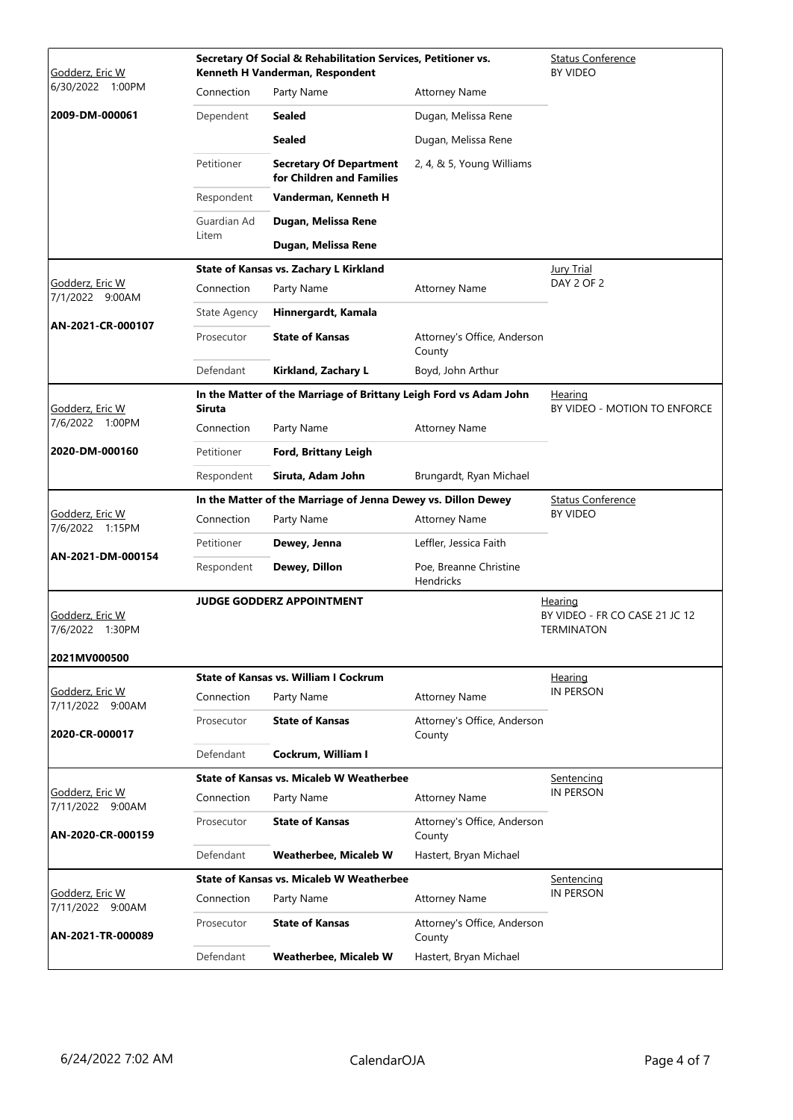| <u>Godderz, Eric W</u>              | Secretary Of Social & Rehabilitation Services, Petitioner vs.<br>Kenneth H Vanderman, Respondent |                                                             |                                            | <b>Status Conference</b><br><b>BY VIDEO</b>                    |
|-------------------------------------|--------------------------------------------------------------------------------------------------|-------------------------------------------------------------|--------------------------------------------|----------------------------------------------------------------|
| 6/30/2022 1:00PM                    | Connection                                                                                       | Party Name                                                  | <b>Attorney Name</b>                       |                                                                |
| 2009-DM-000061                      | Dependent                                                                                        | <b>Sealed</b>                                               | Dugan, Melissa Rene                        |                                                                |
|                                     |                                                                                                  | <b>Sealed</b>                                               | Dugan, Melissa Rene                        |                                                                |
|                                     | Petitioner                                                                                       | <b>Secretary Of Department</b><br>for Children and Families | 2, 4, & 5, Young Williams                  |                                                                |
|                                     | Respondent                                                                                       | Vanderman, Kenneth H                                        |                                            |                                                                |
|                                     | Guardian Ad                                                                                      | Dugan, Melissa Rene                                         |                                            |                                                                |
|                                     | Litem                                                                                            | Dugan, Melissa Rene                                         |                                            |                                                                |
|                                     |                                                                                                  | State of Kansas vs. Zachary L Kirkland                      |                                            | <b>Jury Trial</b>                                              |
| Godderz, Eric W<br>7/1/2022 9:00AM  | Connection                                                                                       | Party Name                                                  | <b>Attorney Name</b>                       | DAY 2 OF 2                                                     |
| AN-2021-CR-000107                   | <b>State Agency</b>                                                                              | Hinnergardt, Kamala                                         |                                            |                                                                |
|                                     | Prosecutor                                                                                       | <b>State of Kansas</b>                                      | Attorney's Office, Anderson<br>County      |                                                                |
|                                     | Defendant                                                                                        | Kirkland, Zachary L                                         | Boyd, John Arthur                          |                                                                |
| Godderz, Eric W                     | In the Matter of the Marriage of Brittany Leigh Ford vs Adam John<br><b>Siruta</b>               |                                                             |                                            | Hearing<br>BY VIDEO - MOTION TO ENFORCE                        |
| 7/6/2022 1:00PM                     | Connection                                                                                       | Party Name                                                  | <b>Attorney Name</b>                       |                                                                |
| 2020-DM-000160                      | Petitioner                                                                                       | Ford, Brittany Leigh                                        |                                            |                                                                |
|                                     | Respondent                                                                                       | Siruta, Adam John                                           | Brungardt, Ryan Michael                    |                                                                |
|                                     | In the Matter of the Marriage of Jenna Dewey vs. Dillon Dewey                                    |                                                             |                                            | <b>Status Conference</b><br><b>BY VIDEO</b>                    |
| Godderz, Eric W<br>7/6/2022 1:15PM  | Connection                                                                                       | Party Name                                                  | <b>Attorney Name</b>                       |                                                                |
| AN-2021-DM-000154                   | Petitioner                                                                                       | Dewey, Jenna                                                | Leffler, Jessica Faith                     |                                                                |
|                                     | Respondent                                                                                       | Dewey, Dillon                                               | Poe, Breanne Christine<br><b>Hendricks</b> |                                                                |
| Godderz, Eric W<br>7/6/2022 1:30PM  |                                                                                                  | <b>JUDGE GODDERZ APPOINTMENT</b>                            |                                            | Hearing<br>BY VIDEO - FR CO CASE 21 JC 12<br><b>TERMINATON</b> |
| 2021MV000500                        |                                                                                                  | <b>State of Kansas vs. William I Cockrum</b>                |                                            |                                                                |
| Godderz, Eric W<br>7/11/2022 9:00AM | Connection                                                                                       | Party Name                                                  | <b>Attorney Name</b>                       | <u>Hearing</u><br><b>IN PERSON</b>                             |
| 2020-CR-000017                      | Prosecutor                                                                                       | <b>State of Kansas</b>                                      | Attorney's Office, Anderson<br>County      |                                                                |
|                                     | Defendant                                                                                        | Cockrum, William I                                          |                                            |                                                                |
|                                     | <b>State of Kansas vs. Micaleb W Weatherbee</b>                                                  |                                                             |                                            | <u>Sentencing</u>                                              |
| Godderz, Eric W<br>7/11/2022 9:00AM | Connection                                                                                       | Party Name                                                  | <b>Attorney Name</b>                       | IN PERSON                                                      |
| AN-2020-CR-000159                   | Prosecutor                                                                                       | <b>State of Kansas</b>                                      | Attorney's Office, Anderson<br>County      |                                                                |
|                                     | Defendant                                                                                        | <b>Weatherbee, Micaleb W</b>                                | Hastert, Bryan Michael                     |                                                                |
|                                     |                                                                                                  | State of Kansas vs. Micaleb W Weatherbee                    |                                            | <u>Sentencing</u><br><b>IN PERSON</b>                          |
| Godderz, Eric W<br>7/11/2022 9:00AM | Connection                                                                                       | Party Name                                                  | <b>Attorney Name</b>                       |                                                                |
| AN-2021-TR-000089                   | Prosecutor                                                                                       | <b>State of Kansas</b>                                      | Attorney's Office, Anderson<br>County      |                                                                |
|                                     | Defendant                                                                                        | <b>Weatherbee, Micaleb W</b>                                | Hastert, Bryan Michael                     |                                                                |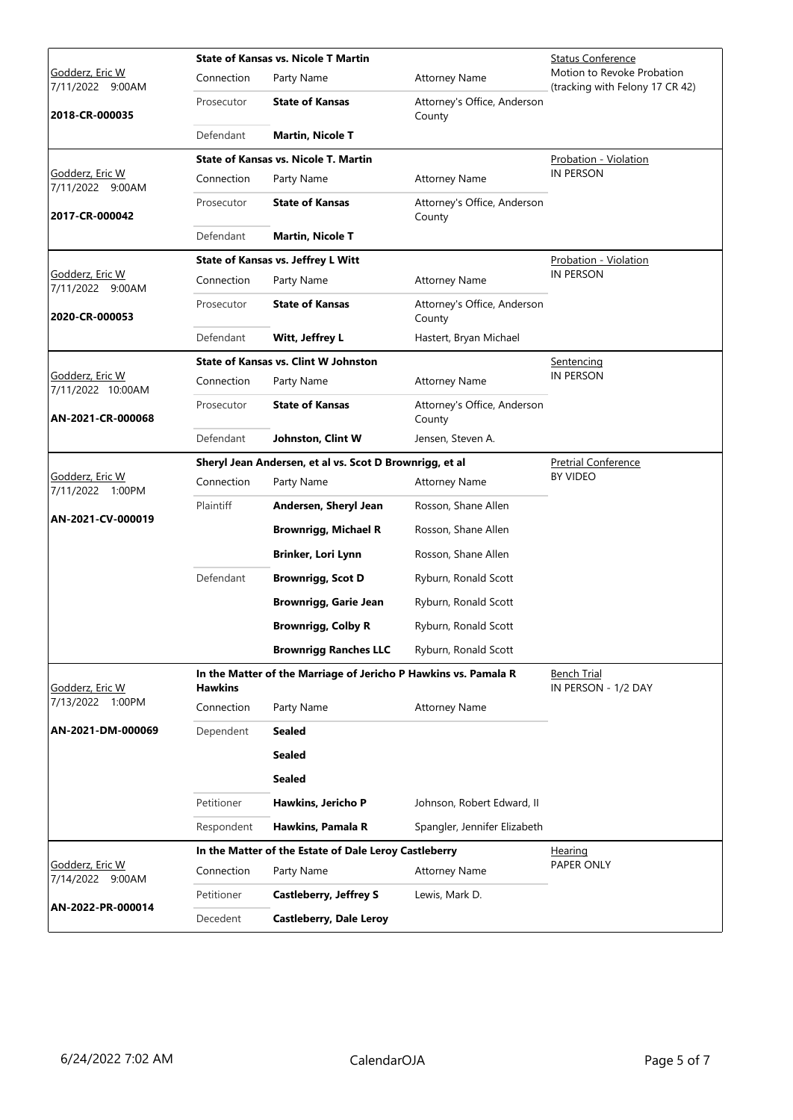|                                                              | <b>State of Kansas vs. Nicole T Martin</b>                                        |                                                         |                                       | Status Conference                                             |
|--------------------------------------------------------------|-----------------------------------------------------------------------------------|---------------------------------------------------------|---------------------------------------|---------------------------------------------------------------|
| <u>Godderz, Eric W</u><br>7/11/2022 9:00AM<br>2018-CR-000035 | Connection                                                                        | Party Name                                              | <b>Attorney Name</b>                  | Motion to Revoke Probation<br>(tracking with Felony 17 CR 42) |
|                                                              | Prosecutor                                                                        | <b>State of Kansas</b>                                  | Attorney's Office, Anderson<br>County |                                                               |
|                                                              | Defendant                                                                         | <b>Martin, Nicole T</b>                                 |                                       |                                                               |
|                                                              |                                                                                   | <b>State of Kansas vs. Nicole T. Martin</b>             |                                       | <b>Probation - Violation</b>                                  |
| Godderz, Eric W<br>7/11/2022 9:00AM                          | Connection                                                                        | Party Name                                              | <b>Attorney Name</b>                  | <b>IN PERSON</b>                                              |
| 2017-CR-000042                                               | Prosecutor                                                                        | <b>State of Kansas</b>                                  | Attorney's Office, Anderson<br>County |                                                               |
|                                                              | Defendant                                                                         | <b>Martin, Nicole T</b>                                 |                                       |                                                               |
|                                                              |                                                                                   | <b>State of Kansas vs. Jeffrey L Witt</b>               |                                       | Probation - Violation                                         |
| Godderz, Eric W<br>7/11/2022 9:00AM                          | Connection                                                                        | Party Name                                              | <b>Attorney Name</b>                  | IN PERSON                                                     |
| 2020-CR-000053                                               | Prosecutor                                                                        | <b>State of Kansas</b>                                  | Attorney's Office, Anderson<br>County |                                                               |
|                                                              | Defendant                                                                         | Witt, Jeffrey L                                         | Hastert, Bryan Michael                |                                                               |
|                                                              |                                                                                   | <b>State of Kansas vs. Clint W Johnston</b>             |                                       | Sentencing                                                    |
| <u>Godderz, Eric W</u><br>7/11/2022 10:00AM                  | Connection                                                                        | Party Name                                              | <b>Attorney Name</b>                  | IN PERSON                                                     |
| AN-2021-CR-000068                                            | Prosecutor                                                                        | <b>State of Kansas</b>                                  | Attorney's Office, Anderson<br>County |                                                               |
|                                                              | Defendant                                                                         | Johnston, Clint W                                       | Jensen, Steven A.                     |                                                               |
|                                                              |                                                                                   | Sheryl Jean Andersen, et al vs. Scot D Brownrigg, et al | <b>Pretrial Conference</b>            |                                                               |
| Godderz, Eric W<br>7/11/2022 1:00PM<br>AN-2021-CV-000019     | Connection                                                                        | Party Name                                              | <b>Attorney Name</b>                  | BY VIDEO                                                      |
|                                                              | Plaintiff                                                                         | Andersen, Sheryl Jean                                   | Rosson, Shane Allen                   |                                                               |
|                                                              |                                                                                   | <b>Brownrigg, Michael R</b>                             | Rosson, Shane Allen                   |                                                               |
|                                                              |                                                                                   | Brinker, Lori Lynn                                      | Rosson, Shane Allen                   |                                                               |
|                                                              | Defendant                                                                         | <b>Brownrigg, Scot D</b>                                | Ryburn, Ronald Scott                  |                                                               |
|                                                              |                                                                                   | <b>Brownrigg, Garie Jean</b>                            | Ryburn, Ronald Scott                  |                                                               |
|                                                              |                                                                                   | <b>Brownrigg, Colby R</b>                               | Ryburn, Ronald Scott                  |                                                               |
|                                                              |                                                                                   | <b>Brownrigg Ranches LLC</b>                            | Ryburn, Ronald Scott                  |                                                               |
| Godderz, Eric W                                              | In the Matter of the Marriage of Jericho P Hawkins vs. Pamala R<br><b>Hawkins</b> |                                                         |                                       | Bench Trial<br>IN PERSON - 1/2 DAY                            |
| 7/13/2022 1:00PM                                             | Connection                                                                        | Party Name                                              | <b>Attorney Name</b>                  |                                                               |
| AN-2021-DM-000069                                            | Dependent                                                                         | Sealed                                                  |                                       |                                                               |
|                                                              |                                                                                   | Sealed                                                  |                                       |                                                               |
|                                                              |                                                                                   | <b>Sealed</b>                                           |                                       |                                                               |
|                                                              | Petitioner                                                                        | Hawkins, Jericho P                                      | Johnson, Robert Edward, II            |                                                               |
|                                                              | Respondent                                                                        | Hawkins, Pamala R                                       | Spangler, Jennifer Elizabeth          |                                                               |
|                                                              |                                                                                   | In the Matter of the Estate of Dale Leroy Castleberry   |                                       | Hearing                                                       |
| Godderz, Eric W<br>7/14/2022 9:00AM                          | Connection                                                                        | Party Name                                              | <b>Attorney Name</b>                  | PAPER ONLY                                                    |
|                                                              | Petitioner                                                                        | <b>Castleberry, Jeffrey S</b>                           | Lewis, Mark D.                        |                                                               |
| AN-2022-PR-000014                                            | Decedent                                                                          | <b>Castleberry, Dale Leroy</b>                          |                                       |                                                               |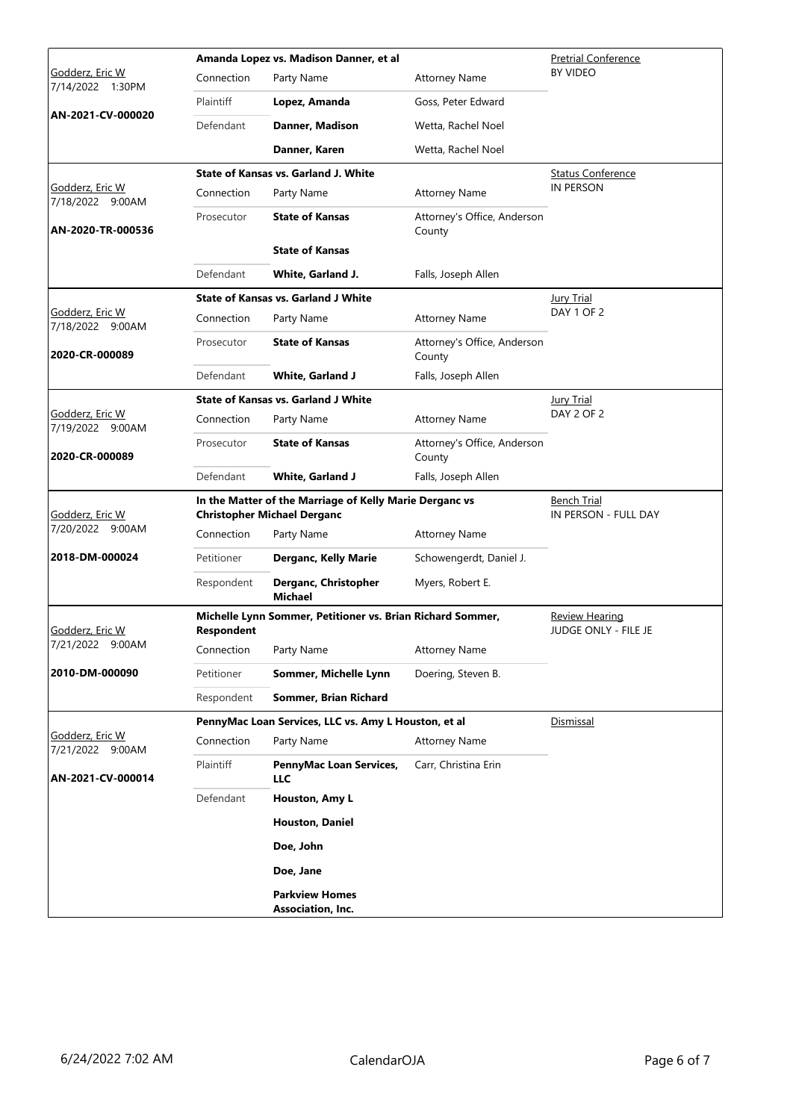|                                     | Amanda Lopez vs. Madison Danner, et al                                                        |                                                            |                                               | <b>Pretrial Conference</b>          |
|-------------------------------------|-----------------------------------------------------------------------------------------------|------------------------------------------------------------|-----------------------------------------------|-------------------------------------|
| Godderz, Eric W<br>7/14/2022 1:30PM | Connection                                                                                    | Party Name                                                 | <b>Attorney Name</b>                          | <b>BY VIDEO</b>                     |
| AN-2021-CV-000020                   | Plaintiff                                                                                     | Lopez, Amanda                                              | Goss, Peter Edward                            |                                     |
|                                     | Defendant                                                                                     | Danner, Madison                                            | Wetta, Rachel Noel                            |                                     |
|                                     |                                                                                               | Danner, Karen                                              | Wetta, Rachel Noel                            |                                     |
|                                     |                                                                                               | <b>State of Kansas vs. Garland J. White</b>                |                                               | <b>Status Conference</b>            |
| Godderz, Eric W<br>7/18/2022 9:00AM | Connection                                                                                    | Party Name                                                 | <b>Attorney Name</b>                          | <b>IN PERSON</b>                    |
| AN-2020-TR-000536                   | Prosecutor                                                                                    | <b>State of Kansas</b>                                     | Attorney's Office, Anderson<br>County         |                                     |
|                                     |                                                                                               | <b>State of Kansas</b>                                     |                                               |                                     |
|                                     | Defendant                                                                                     | White, Garland J.                                          | Falls, Joseph Allen                           |                                     |
|                                     |                                                                                               | <b>State of Kansas vs. Garland J White</b>                 |                                               | <b>Jury Trial</b>                   |
| Godderz, Eric W<br>7/18/2022 9:00AM | Connection                                                                                    | Party Name                                                 | <b>Attorney Name</b>                          | DAY 1 OF 2                          |
| 2020-CR-000089                      | Prosecutor                                                                                    | <b>State of Kansas</b>                                     | Attorney's Office, Anderson<br>County         |                                     |
|                                     | Defendant                                                                                     | <b>White, Garland J</b>                                    | Falls, Joseph Allen                           |                                     |
|                                     |                                                                                               | <b>State of Kansas vs. Garland J White</b>                 |                                               | <b>Jury Trial</b>                   |
| Godderz, Eric W<br>7/19/2022 9:00AM | Connection                                                                                    | Party Name                                                 | <b>Attorney Name</b>                          | DAY 2 OF 2                          |
| 2020-CR-000089                      | Prosecutor                                                                                    | <b>State of Kansas</b>                                     | Attorney's Office, Anderson<br>County         |                                     |
|                                     | Defendant                                                                                     | <b>White, Garland J</b>                                    | Falls, Joseph Allen                           |                                     |
| Godderz, Eric W                     | In the Matter of the Marriage of Kelly Marie Derganc vs<br><b>Christopher Michael Derganc</b> |                                                            |                                               | Bench Trial<br>IN PERSON - FULL DAY |
| 7/20/2022 9:00AM                    | Connection                                                                                    | Party Name                                                 | <b>Attorney Name</b>                          |                                     |
| 2018-DM-000024                      | Petitioner                                                                                    | Derganc, Kelly Marie                                       | Schowengerdt, Daniel J.                       |                                     |
|                                     | Respondent                                                                                    | Derganc, Christopher<br><b>Michael</b>                     | Myers, Robert E.                              |                                     |
| <u>Godderz, Eric W</u>              | <b>Respondent</b>                                                                             | Michelle Lynn Sommer, Petitioner vs. Brian Richard Sommer, | <b>Review Hearing</b><br>JUDGE ONLY - FILE JE |                                     |
| 7/21/2022 9:00AM                    | Connection                                                                                    | Party Name                                                 | <b>Attorney Name</b>                          |                                     |
| 2010-DM-000090                      | Petitioner                                                                                    | Sommer, Michelle Lynn                                      | Doering, Steven B.                            |                                     |
|                                     | Respondent                                                                                    | Sommer, Brian Richard                                      |                                               |                                     |
|                                     |                                                                                               | PennyMac Loan Services, LLC vs. Amy L Houston, et al       | Dismissal                                     |                                     |
| Godderz, Eric W<br>7/21/2022 9:00AM | Connection                                                                                    | Party Name                                                 | <b>Attorney Name</b>                          |                                     |
| AN-2021-CV-000014                   | Plaintiff                                                                                     | PennyMac Loan Services,<br><b>LLC</b>                      | Carr, Christina Erin                          |                                     |
|                                     | Defendant                                                                                     | Houston, Amy L                                             |                                               |                                     |
|                                     |                                                                                               | <b>Houston, Daniel</b>                                     |                                               |                                     |
|                                     |                                                                                               | Doe, John                                                  |                                               |                                     |
|                                     |                                                                                               | Doe, Jane                                                  |                                               |                                     |
|                                     |                                                                                               | <b>Parkview Homes</b><br>Association, Inc.                 |                                               |                                     |